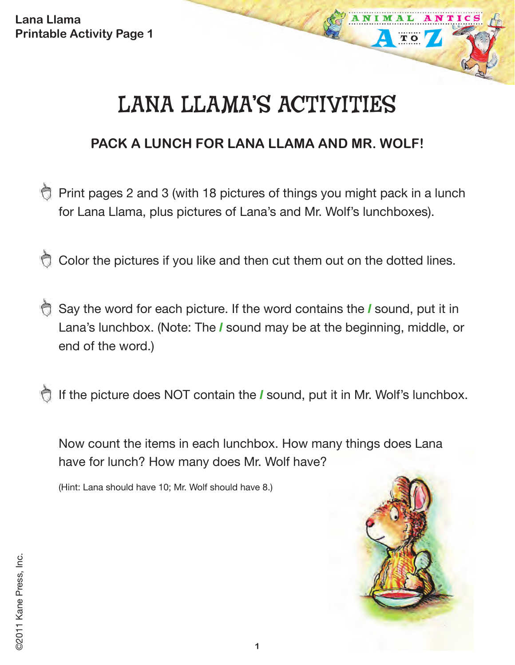# LANA LLAMA'S ACTIVITIES

## **PACK A LUNCH FOR LANA LLAMA AND MR. WOLF!**

- Print pages 2 and 3 (with 18 pictures of things you might pack in a lunch for Lana Llama, plus pictures of Lana's and Mr. Wolf's lunchboxes).
- Color the pictures if you like and then cut them out on the dotted lines.
- Say the word for each picture. If the word contains the *l* sound, put it in Lana's lunchbox. (Note: The *l* sound may be at the beginning, middle, or end of the word.)
- If the picture does NOT contain the *l* sound, put it in Mr. Wolf's lunchbox.

Now count the items in each lunchbox. How many things does Lana have for lunch? How many does Mr. Wolf have?

(Hint: Lana should have 10; Mr. Wolf should have 8.)



TO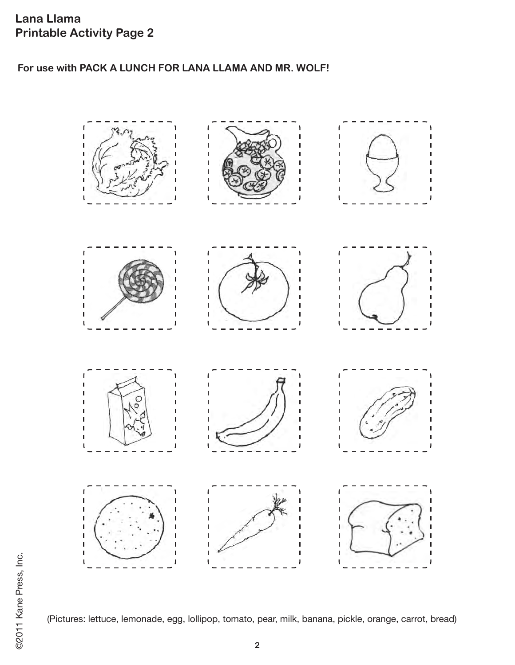#### **For use with PACK A LUNCH FOR LANA LLAMA AND MR. WOLF!**



(Pictures: lettuce, lemonade, egg, lollipop, tomato, pear, milk, banana, pickle, orange, carrot, bread)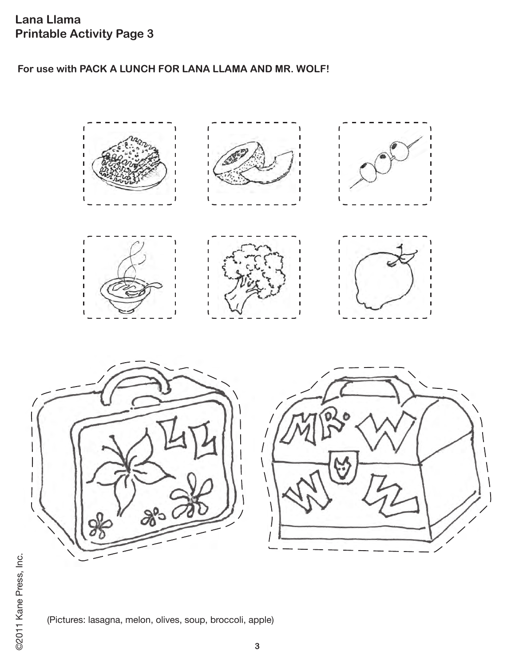**For use with PACK A LUNCH FOR LANA LLAMA AND MR. WOLF!**



(Pictures: lasagna, melon, olives, soup, broccoli, apple)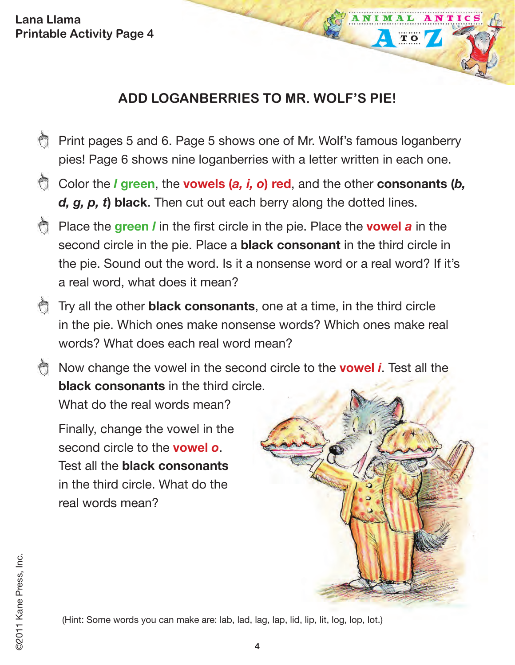## **ADD LOGANBERRIES TO MR. WOLF'S PIE!**

- Print pages 5 and 6. Page 5 shows one of Mr. Wolf's famous loganberry pies! Page 6 shows nine loganberries with a letter written in each one.
- Color the *l* **green**, the **vowels (***a, i, o***) red**, and the other **consonants (***b, d, g, p, t***) black**. Then cut out each berry along the dotted lines.
- Place the **green** *l* in the first circle in the pie. Place the **vowel** *a* in the second circle in the pie. Place a **black consonant** in the third circle in the pie. Sound out the word. Is it a nonsense word or a real word? If it's a real word, what does it mean?
- Try all the other **black consonants**, one at a time, in the third circle in the pie. Which ones make nonsense words? Which ones make real words? What does each real word mean?

Now change the vowel in the second circle to the **vowel** *i*. Test all the **black consonants** in the third circle.

What do the real words mean?

Finally, change the vowel in the second circle to the **vowel** *o*. Test all the **black consonants** in the third circle. What do the real words mean?



ANIM

**TO** 

NTIC

©2011 Kane Press, Inc.

2011 Kane Press, Inc.

(Hint: Some words you can make are: lab, lad, lag, lap, lid, lip, lit, log, lop, lot.)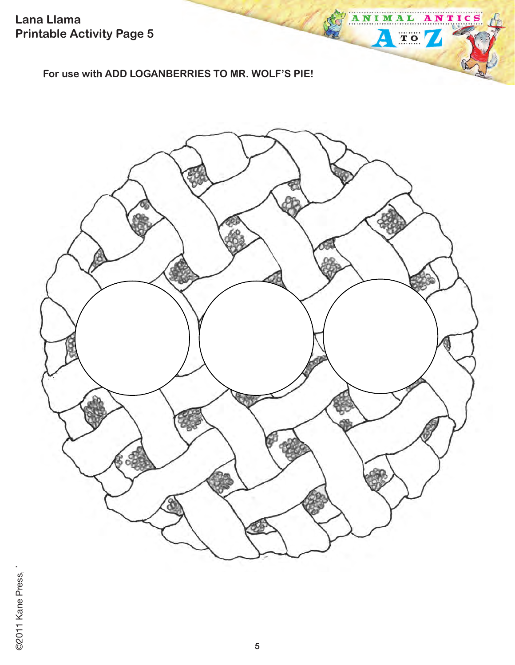**For use with ADD LOGANBERRIES TO MR. WOLF'S PIE!**



ANTICS

ANIMAL

⊻

TO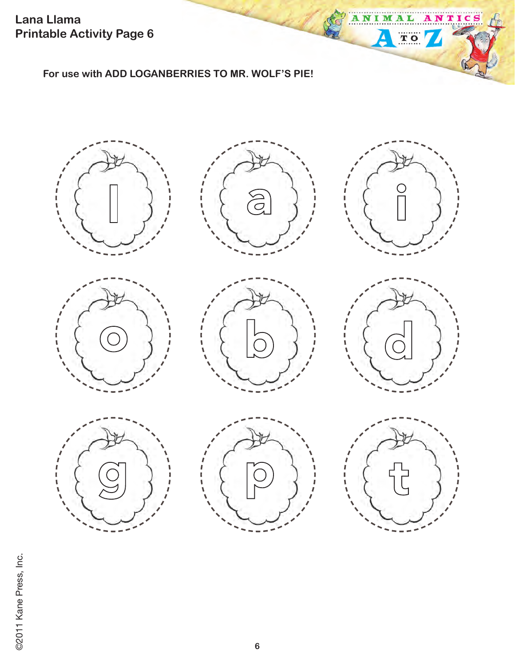**For use with ADD LOGANBERRIES TO MR. WOLF'S PIE!**















ANIM

Δ

AL

 $\mathbf{A}$ 

TOY

NTICS